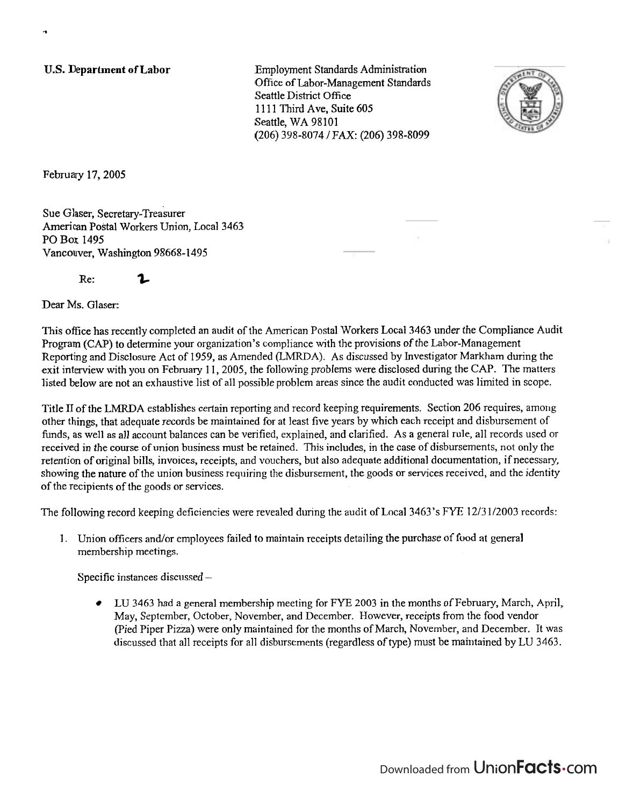**U.S. Department of Labor** 

Employment Standards Administration Office of Labor-Management Standards Seattle District Office 1111 Third Ave, Suite 605 Seattle, WA 98101 (206) 398-8074 I FAX: (206) 398-8099



February 17,2005

-

Sue Glaser, Secretary-Treasurer American Postal Workers Union, Local 3463 PO Box 1495 Vancouver, Washington 98668-1495

Re: **%** 

Dear Ms. Glaser:

This ofice has recently completed an audit of the American Postal Workers Local 3463 under the Compliance Audit Program (CAP) to determine your organization's compliance with the provisions of the Labor-Management Reporting and Disclosure Act of 1959, as Amended (LMRDA). As discussed by Investigator Markham during the exit interview with you on February 11, 2005, the following problems were disclosed during the CAP. The matters listed below are not an exhaustive list of all possible problem areas since the audit conducted was limited in scope.

Title **II** of the LMRDA establishes certain reporting and record keeping requirements. Section 206 requires, among other things, that adequate records be maintained for at least five years by which each receipt and disbursement of funds, as well **as** all account balances can be verified, explained, and clarified. As a general rule, all records used or received in the course of union business must be retained. This includes, in the case of disbursements, not only the retention of original bills, invoices, receipts, and vouchers, but also adequate additional documentation, if necessary, showing the nature of the union business requiring the disbursement, the goods or services received, and the identity of the recipients of the goods or services.

The following record keeping deficiencies were revealed during the audit of Local 3463's FYE 12/31/2003 records:

1. Union officers and/or employees failed to maintain receipts detailing the purchase of food at general membership meetings.

Specific instances discussed -

LU 3463 had a general membership meeting for FYE 2003 in the months of February, March, April,  $\bullet$ May, September, October, November, and December. However, receipts from the food vendor (Pied Piper Pizza) were only maintained for the months of March, November, and December. It was discussed that all receipts for all disbursements (regardless of type) must be maintained by LU 3463.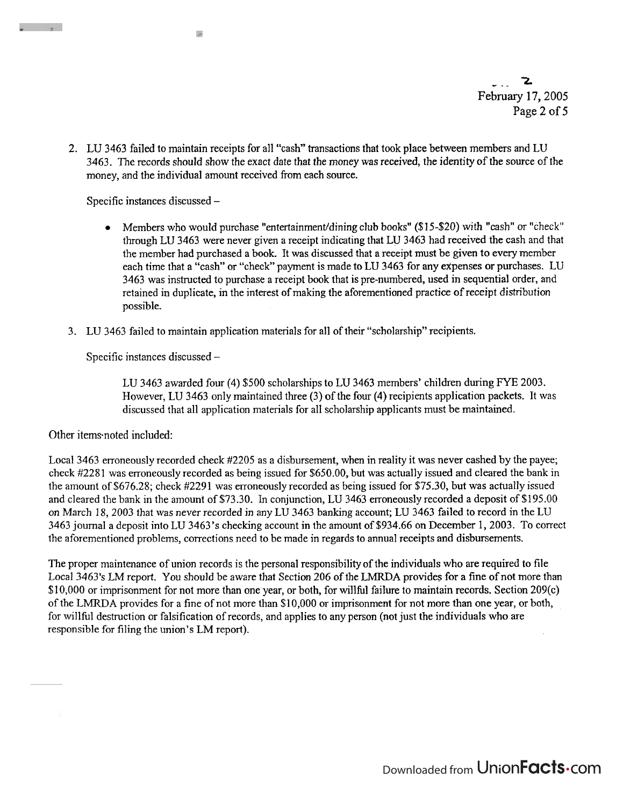- .- **1**  February 17,2005 Page 2 **of <sup>5</sup>**

2. LU 3463 failed to maintain receipts for all "cash" transactions that took place between members and LU 3463. The records should show the exact date that the money was received, the identity of the source of the money, and the individual amount received fiom each source.

Specific instances discussed -

i.

- Members who would purchase "entertainment/dining club books" (\$15-\$20) with "cash" or "check" through LU 3463 were never given a receipt indicating that LU 3463 had received the cash and that the member had purchased a book. It was discussed that a receipt must be given to every member each time that a "cash" or "check" payment is made to LU 3463 for any expenses or purchases. LU 3463 was instructed to purchase a receipt book that is pre-numbered, used in sequential order, and retained in duplicate, in the interest of making the aforementioned practice of receipt distribution possible.
- 3. LU 3463 failed to maintain application materials for all of their "scholarship" recipients.

Specific instances discussed -

LU 3463 awarded four (4) \$500 scholarships to LU 3463 members' children during FYE 2003. However, LU 3463 only maintained three (3) of the four (4) recipients application packets. It was discussed that all application materials for all scholarship applicants must be maintained.

Other items-noted included:

Local 3463 erroneously recorded check #2205 as a disbursement, when in reality it was never cashed by the payee; check #2281 was erroneously recorded as being issued for \$650.00, but was actually issued and cleared the bank in the amount of \$676.28; check #2291 was erroneously recorded as being issued for \$75.30, but was actually issued and cleared the bank in the amount of \$73.30. In conjunction, LU 3463 erroneously recorded a deposit of \$195.00 on March 18,2003 that was never recorded in any LU 3463 banking account; LU 3463 failed to record in the LU 3463 journal a deposit into LU 3463's checking account in the amount of \$934.66 on December 1,2003. To correct the aforementioned problems, corrections need to be made in regards to annual receipts and disbursements.

The proper maintenance of union records is the personal responsibility of the individuals who are required to file Local 3463's LM report. You should be aware that Section 206 of the LMRDA provides for a fine of not more than \$10,000 or imprisonment for not more than one year, or both, for willful failure to maintain records. Section 209(c) of the LMRDA provides for a fine of not more than \$10,000 or imprisonment for not more than one year, or both, for willhl destruction or falsification of records, and applies to any person (not just the individuals who are responsible for filing the union's LM report).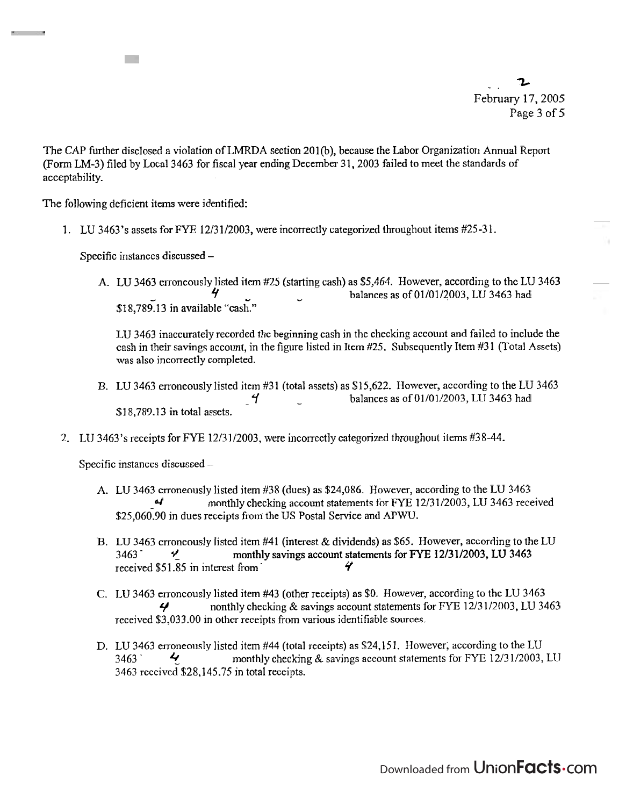-. **Z**  February 17,2005 Page 3 of 5

The CAP further disclosed a violation of LMRDA section 201(b), because the Labor Organization Annual Report (Form LM-3) filed by Local 3463 for fiscal year ending December 3 1,2003 failed to meet the standards of acceptability.

The following deficient items were identified:

1000

1. LU 3463's assets for FYE 12/31/2003, were incorrectly categorized throughout items #25-31.

Specific instances discussed -

A. LU 3463 erroneously listed item #25 (starting cash) as \$5,464. However, according to the LU 3463 - **9** u balances as of 01/01/2003, LU 3463 had \$18,789.13 in available "cash."

LU 3463 inaccurately recorded the beginning cash in the checking account and failed to include the cash in their savings account, in the figure listed in Item #25. Subsequently Item #31 (Total Assets) was also incorrectly completed.

- B. LU 3463 erroneously listed item #31 (total assets) as \$15,622. However, according to the LU 3463  $\frac{4}{1}$  balances as of 01/01/2003, LU 3463 had \$18,789.13 in total assets.
- 2. LU 3463's receipts for FYE 12/31/2003, were incorrectly categorized throughout items #38-44.

Specific instances discussed -

- A. LU 3463 erroneously listed item #38 (dues) as \$24,086. However, according to the LU 3463 **4** monthly checking account statements for FYE 12/31/2003, LU 3463 received \$25,060.90 in dues receipts from the US Postal Service and APWU.
- B. LU 3463 erroneously listed item #41 (interest & dividends) as *\$65.* However, according to the LU 3463.  $\frac{4}{10}$  monthly savings account statements for FYE 12/31/2003, LU 3463 received \$51.85 in interest from *4*
- C. LU 3463 erroneously listed item #43 (other receipts) as \$0. However, according to the LU 3463 **4** nonthly checking & savings account statements for FYE 12/31/2003, LU 3463 received \$3,033.00 in other receipts from various identifiable sources.
- D. LU 3463 erroneously listed item #44 (total receipts) as \$24,151. However; according to the LU 3463 **4** monthly checking & savings account statements for FYE 12/31/2003, LU 3463 received \$28,145.75 in total receipts.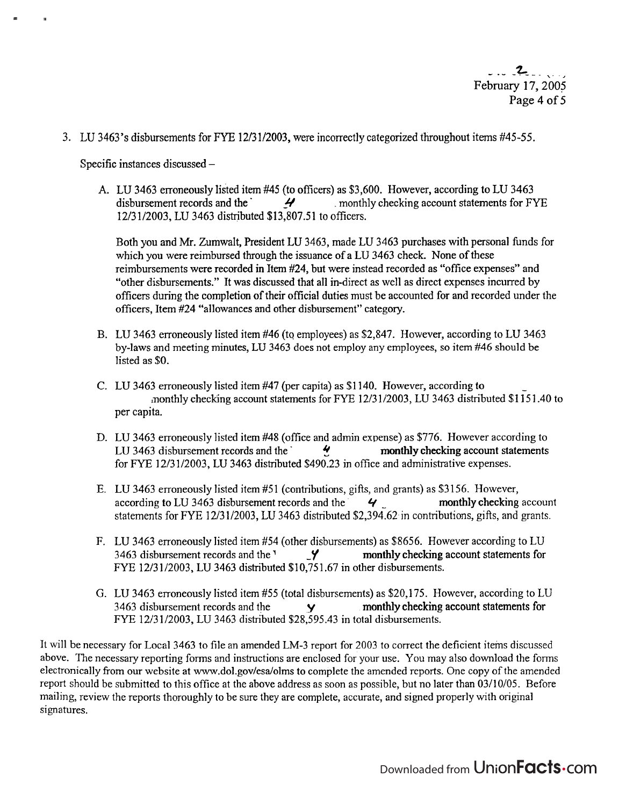3. LU 3463's disbursements for EYE 12/31/2003, were incorrectly categorized throughout items #45-55.

Specific instances discussed -

A. LU 3463 erroneously listed item **#45** (to officers) as \$3,600. However, according to LU 3463 4 **4** monthly checking account statements for FYE 12/31/2003, LU 3463 distributed \$13,807.51 to officers.

Both you and Mr. Zumwalt, President LU 3463, made LU 3463 purchases with personal funds for which you were reimbursed through the issuance of a LU 3463 check. None of these reimbursements were recorded in Item #24, but were instead recorded as "office expenses" and "other disbursements." It was discussed that all in-direct as well as direct expenses incurred by officers during the completion of their official duties must be accounted for and recorded under the officers, Item #24 "allowances and other disbursement" category.

- B. LU 3463 erroneously listed item #46 (to employees) as \$2,847. However, according to LU 3463 by-laws and meeting minutes, LU 3463 does not employ any employees, so item #46 should be listed as \$0.
- C. LU 3463 erroneously listed item #47 (per capita) as \$1 140. However, according to monthly checking account statements for FYE 1213 112003, LU 3463 distributed \$1 15 1.40 to per capita.
- D. LU 3463 erroneously listed item #48 (office and admin expense) as \$776. However according to LU 3463 disbursement records and the  $\frac{4}{3}$  monthly checking account statements for FYE 12/31/2003, LU 3463 distributed \$490.23 in office and administrative expenses.
- E. LU 3463 erroneously listed item #5 1 (contributions, gifts, and grants) as \$3 156. However, according to LU 3463 disbursement records and the  $\frac{4}{4}$  monthly checking account statements for FYE 12/31/2003, LU 3463 distributed \$2,394.62 in contributions, gifts, and grants.
- F. LU 3463 erroneously listed item #54 (other disbursements) as \$8656. However according to LU 3463 disbursement records and the  $\frac{9}{2}$  monthly checking account statements for FYE 12/31/2003, LU 3463 distributed \$10,751.67 in other disbursements.
- G. LU 3463 erroneously listed item #55 (total disbursements) as \$20,175. However, according to LU 3463 disbursement records and the **Y** monthly checking account statements for FYE 12/31/2003, LU 3463 distributed \$28,595.43 in total disbursements.

It will be necessary for Local 3463 to file an amended LM-3 report for 2003 to correct the deficient iteins discussed above. The necessary reporting forms and instructions are enclosed for your use. You may also download the forms electronically from our website at www.dol.gov/esa/olms to complete the amended reports. One copy of the amended report should be submitted to this office at the above address as soon as possible, but no later than 03/10/05. Before mailing, review the reports thoroughly to be sure they are complete, accurate, and signed properly with original signatures.